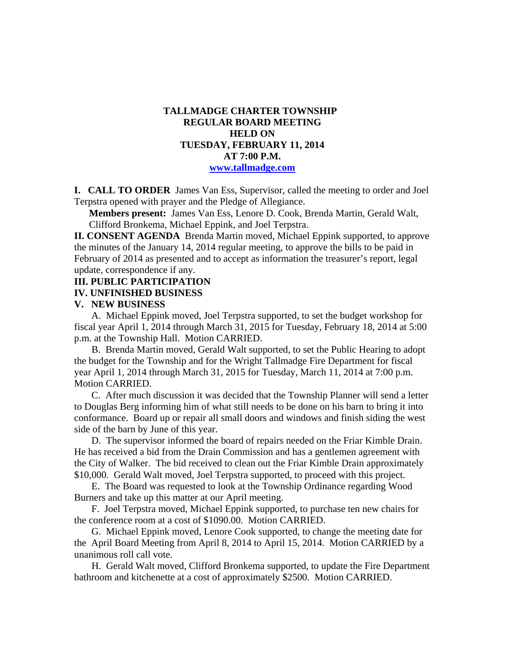# **TALLMADGE CHARTER TOWNSHIP REGULAR BOARD MEETING HELD ON TUESDAY, FEBRUARY 11, 2014 AT 7:00 P.M. www.tallmadge.com**

**I. CALL TO ORDER** James Van Ess, Supervisor, called the meeting to order and Joel Terpstra opened with prayer and the Pledge of Allegiance.

**Members present:** James Van Ess, Lenore D. Cook, Brenda Martin, Gerald Walt, Clifford Bronkema, Michael Eppink, and Joel Terpstra.

**II. CONSENT AGENDA** Brenda Martin moved, Michael Eppink supported, to approve the minutes of the January 14, 2014 regular meeting, to approve the bills to be paid in February of 2014 as presented and to accept as information the treasurer's report, legal update, correspondence if any.

#### **III. PUBLIC PARTICIPATION**

### **IV. UNFINISHED BUSINESS**

### **V. NEW BUSINESS**

 A. Michael Eppink moved, Joel Terpstra supported, to set the budget workshop for fiscal year April 1, 2014 through March 31, 2015 for Tuesday, February 18, 2014 at 5:00 p.m. at the Township Hall. Motion CARRIED.

 B. Brenda Martin moved, Gerald Walt supported, to set the Public Hearing to adopt the budget for the Township and for the Wright Tallmadge Fire Department for fiscal year April 1, 2014 through March 31, 2015 for Tuesday, March 11, 2014 at 7:00 p.m. Motion CARRIED.

 C. After much discussion it was decided that the Township Planner will send a letter to Douglas Berg informing him of what still needs to be done on his barn to bring it into conformance. Board up or repair all small doors and windows and finish siding the west side of the barn by June of this year.

 D. The supervisor informed the board of repairs needed on the Friar Kimble Drain. He has received a bid from the Drain Commission and has a gentlemen agreement with the City of Walker. The bid received to clean out the Friar Kimble Drain approximately \$10,000. Gerald Walt moved, Joel Terpstra supported, to proceed with this project.

 E. The Board was requested to look at the Township Ordinance regarding Wood Burners and take up this matter at our April meeting.

 F. Joel Terpstra moved, Michael Eppink supported, to purchase ten new chairs for the conference room at a cost of \$1090.00. Motion CARRIED.

 G. Michael Eppink moved, Lenore Cook supported, to change the meeting date for the April Board Meeting from April 8, 2014 to April 15, 2014. Motion CARRIED by a unanimous roll call vote.

 H. Gerald Walt moved, Clifford Bronkema supported, to update the Fire Department bathroom and kitchenette at a cost of approximately \$2500. Motion CARRIED.